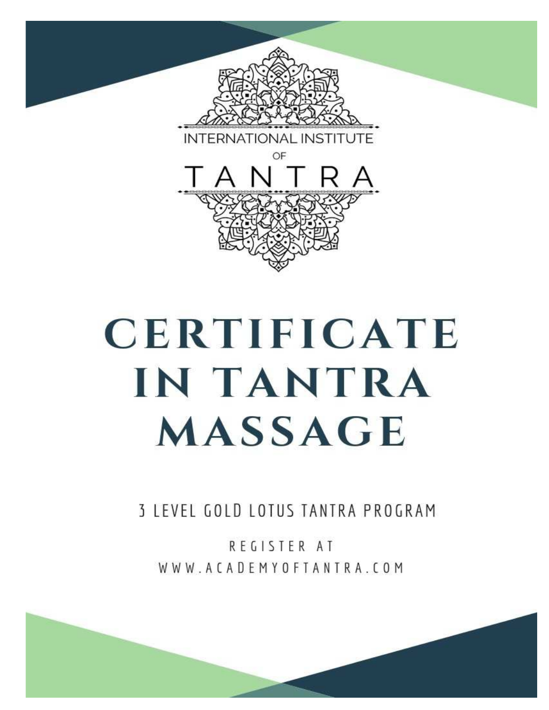

# CERTIFICATE **IN TANTRA** MASSAGE

**3 LEVEL GOLD LOTUS TANTRA PROGRAM** 

REGISTER AT WWW.ACADEMYOFTANTRA.COM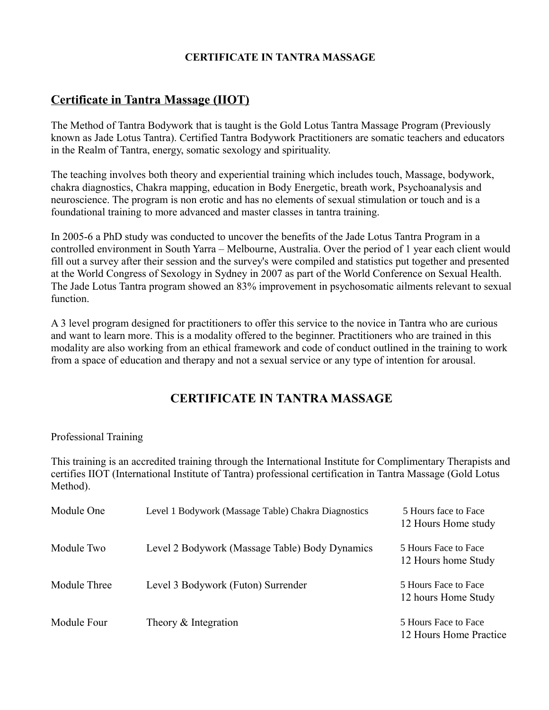#### **CERTIFICATE IN TANTRA MASSAGE**

## **Certificate in Tantra Massage (IIOT)**

The Method of Tantra Bodywork that is taught is the Gold Lotus Tantra Massage Program (Previously known as Jade Lotus Tantra). Certified Tantra Bodywork Practitioners are somatic teachers and educators in the Realm of Tantra, energy, somatic sexology and spirituality.

The teaching involves both theory and experiential training which includes touch, Massage, bodywork, chakra diagnostics, Chakra mapping, education in Body Energetic, breath work, Psychoanalysis and neuroscience. The program is non erotic and has no elements of sexual stimulation or touch and is a foundational training to more advanced and master classes in tantra training.

In 2005-6 a PhD study was conducted to uncover the benefits of the Jade Lotus Tantra Program in a controlled environment in South Yarra – Melbourne, Australia. Over the period of 1 year each client would fill out a survey after their session and the survey's were compiled and statistics put together and presented at the World Congress of Sexology in Sydney in 2007 as part of the World Conference on Sexual Health. The Jade Lotus Tantra program showed an 83% improvement in psychosomatic ailments relevant to sexual function.

A 3 level program designed for practitioners to offer this service to the novice in Tantra who are curious and want to learn more. This is a modality offered to the beginner. Practitioners who are trained in this modality are also working from an ethical framework and code of conduct outlined in the training to work from a space of education and therapy and not a sexual service or any type of intention for arousal.

## **CERTIFICATE IN TANTRA MASSAGE**

#### Professional Training

This training is an accredited training through the International Institute for Complimentary Therapists and certifies IIOT (International Institute of Tantra) professional certification in Tantra Massage (Gold Lotus Method).

| Module One   | Level 1 Bodywork (Massage Table) Chakra Diagnostics | 5 Hours face to Face<br>12 Hours Home study    |
|--------------|-----------------------------------------------------|------------------------------------------------|
| Module Two   | Level 2 Bodywork (Massage Table) Body Dynamics      | 5 Hours Face to Face<br>12 Hours home Study    |
| Module Three | Level 3 Bodywork (Futon) Surrender                  | 5 Hours Face to Face<br>12 hours Home Study    |
| Module Four  | Theory & Integration                                | 5 Hours Face to Face<br>12 Hours Home Practice |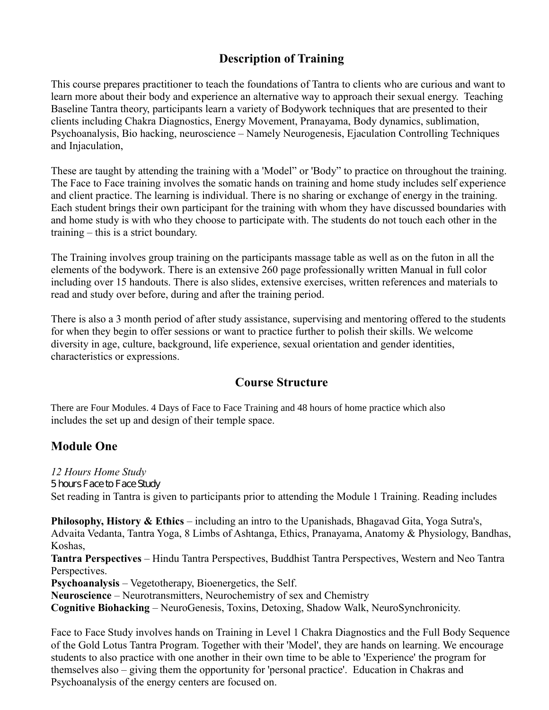# **Description of Training**

This course prepares practitioner to teach the foundations of Tantra to clients who are curious and want to learn more about their body and experience an alternative way to approach their sexual energy. Teaching Baseline Tantra theory, participants learn a variety of Bodywork techniques that are presented to their clients including Chakra Diagnostics, Energy Movement, Pranayama, Body dynamics, sublimation, Psychoanalysis, Bio hacking, neuroscience – Namely Neurogenesis, Ejaculation Controlling Techniques and Injaculation,

These are taught by attending the training with a 'Model" or 'Body" to practice on throughout the training. The Face to Face training involves the somatic hands on training and home study includes self experience and client practice. The learning is individual. There is no sharing or exchange of energy in the training. Each student brings their own participant for the training with whom they have discussed boundaries with and home study is with who they choose to participate with. The students do not touch each other in the training – this is a strict boundary.

The Training involves group training on the participants massage table as well as on the futon in all the elements of the bodywork. There is an extensive 260 page professionally written Manual in full color including over 15 handouts. There is also slides, extensive exercises, written references and materials to read and study over before, during and after the training period.

There is also a 3 month period of after study assistance, supervising and mentoring offered to the students for when they begin to offer sessions or want to practice further to polish their skills. We welcome diversity in age, culture, background, life experience, sexual orientation and gender identities, characteristics or expressions.

## **Course Structure**

There are Four Modules. 4 Days of Face to Face Training and 48 hours of home practice which also includes the set up and design of their temple space.

## **Module One**

*12 Hours Home Study 8 hours Face to Face Study 5 hours Face to Face Study*Set reading in Tantra is given to participants prior to attending the Module 1 Training. Reading includes

**Philosophy, History & Ethics** – including an intro to the Upanishads, Bhagavad Gita, Yoga Sutra's, Advaita Vedanta, Tantra Yoga, 8 Limbs of Ashtanga, Ethics, Pranayama, Anatomy & Physiology, Bandhas, Koshas,

**Tantra Perspectives** – Hindu Tantra Perspectives, Buddhist Tantra Perspectives, Western and Neo Tantra Perspectives.

**Psychoanalysis** – Vegetotherapy, Bioenergetics, the Self.

**Neuroscience** – Neurotransmitters, Neurochemistry of sex and Chemistry

**Cognitive Biohacking** – NeuroGenesis, Toxins, Detoxing, Shadow Walk, NeuroSynchronicity.

Face to Face Study involves hands on Training in Level 1 Chakra Diagnostics and the Full Body Sequence of the Gold Lotus Tantra Program. Together with their 'Model', they are hands on learning. We encourage students to also practice with one another in their own time to be able to 'Experience' the program for themselves also – giving them the opportunity for 'personal practice'. Education in Chakras and Psychoanalysis of the energy centers are focused on.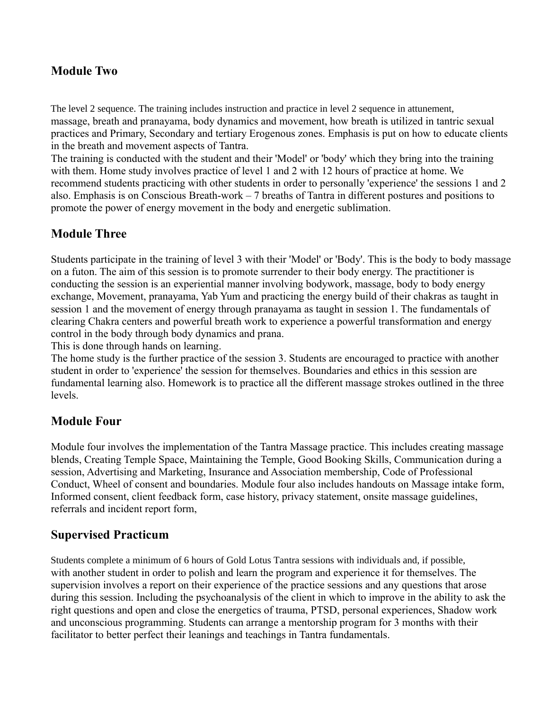## **Module Two**

the level 2 sequence. The training includes instruction and practice in level 2 sequence in attunement, The level 2 sequence. The training includes instruction and practice in level 2 sequence in attunement, massage, breath and pranayama, body dynamics and movement, how breath is utilized in tantric sexual practices and Primary, Secondary and tertiary Erogenous zones. Emphasis is put on how to educate clients in the breath and movement aspects of Tantra.

The training is conducted with the student and their 'Model' or 'body' which they bring into the training with them. Home study involves practice of level 1 and 2 with 12 hours of practice at home. We recommend students practicing with other students in order to personally 'experience' the sessions 1 and 2 also. Emphasis is on Conscious Breath-work – 7 breaths of Tantra in different postures and positions to promote the power of energy movement in the body and energetic sublimation.

## **Module Three**

Students participate in the training of level 3 with their 'Model' or 'Body'. This is the body to body massage on a futon. The aim of this session is to promote surrender to their body energy. The practitioner is conducting the session is an experiential manner involving bodywork, massage, body to body energy exchange, Movement, pranayama, Yab Yum and practicing the energy build of their chakras as taught in session 1 and the movement of energy through pranayama as taught in session 1. The fundamentals of clearing Chakra centers and powerful breath work to experience a powerful transformation and energy control in the body through body dynamics and prana.

This is done through hands on learning.

The home study is the further practice of the session 3. Students are encouraged to practice with another student in order to 'experience' the session for themselves. Boundaries and ethics in this session are fundamental learning also. Homework is to practice all the different massage strokes outlined in the three levels.

## **Module Four**

Module four involves the implementation of the Tantra Massage practice. This includes creating massage blends, Creating Temple Space, Maintaining the Temple, Good Booking Skills, Communication during a session, Advertising and Marketing, Insurance and Association membership, Code of Professional Conduct, Wheel of consent and boundaries. Module four also includes handouts on Massage intake form, Informed consent, client feedback form, case history, privacy statement, onsite massage guidelines, referrals and incident report form,

## **Supervised Practicum**

Students complete a minimum of 6 hours of Gold Lotus Tantra sessions with individuals and, if possible, with another student in order to polish and learn the program and experience it for themselves. The supervision involves a report on their experience of the practice sessions and any questions that arose during this session. Including the psychoanalysis of the client in which to improve in the ability to ask the right questions and open and close the energetics of trauma, PTSD, personal experiences, Shadow work and unconscious programming. Students can arrange a mentorship program for 3 months with their facilitator to better perfect their leanings and teachings in Tantra fundamentals.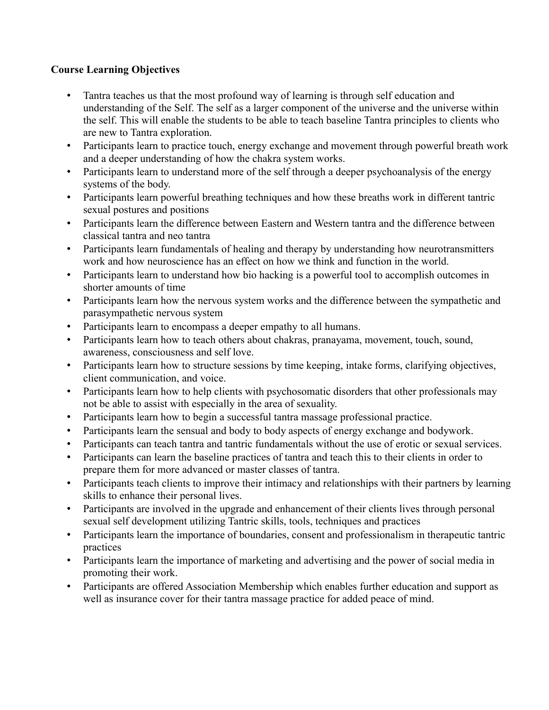#### **Course Learning Objectives**

- Tantra teaches us that the most profound way of learning is through self education and understanding of the Self. The self as a larger component of the universe and the universe within the self. This will enable the students to be able to teach baseline Tantra principles to clients who are new to Tantra exploration.
- Participants learn to practice touch, energy exchange and movement through powerful breath work and a deeper understanding of how the chakra system works.
- Participants learn to understand more of the self through a deeper psychoanalysis of the energy systems of the body.
- Participants learn powerful breathing techniques and how these breaths work in different tantric sexual postures and positions
- Participants learn the difference between Eastern and Western tantra and the difference between classical tantra and neo tantra
- Participants learn fundamentals of healing and therapy by understanding how neurotransmitters work and how neuroscience has an effect on how we think and function in the world.
- Participants learn to understand how bio hacking is a powerful tool to accomplish outcomes in shorter amounts of time
- Participants learn how the nervous system works and the difference between the sympathetic and parasympathetic nervous system
- Participants learn to encompass a deeper empathy to all humans.
- Participants learn how to teach others about chakras, pranayama, movement, touch, sound, awareness, consciousness and self love.
- Participants learn how to structure sessions by time keeping, intake forms, clarifying objectives, client communication, and voice.
- Participants learn how to help clients with psychosomatic disorders that other professionals may not be able to assist with especially in the area of sexuality.
- Participants learn how to begin a successful tantra massage professional practice.
- Participants learn the sensual and body to body aspects of energy exchange and bodywork.
- Participants can teach tantra and tantric fundamentals without the use of erotic or sexual services.
- Participants can learn the baseline practices of tantra and teach this to their clients in order to prepare them for more advanced or master classes of tantra.
- Participants teach clients to improve their intimacy and relationships with their partners by learning skills to enhance their personal lives.
- Participants are involved in the upgrade and enhancement of their clients lives through personal sexual self development utilizing Tantric skills, tools, techniques and practices
- Participants learn the importance of boundaries, consent and professionalism in therapeutic tantric practices
- Participants learn the importance of marketing and advertising and the power of social media in promoting their work.
- Participants are offered Association Membership which enables further education and support as well as insurance cover for their tantra massage practice for added peace of mind.